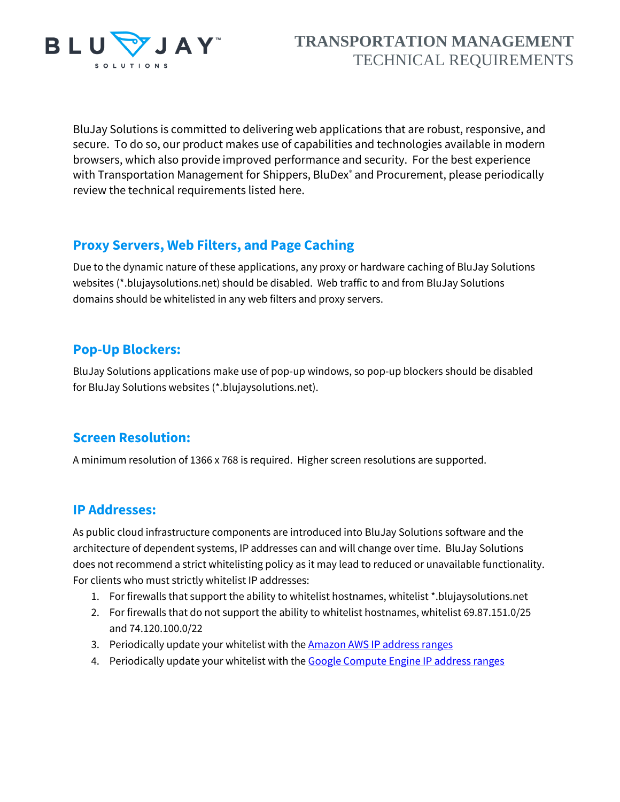

# **TRANSPORTATION MANAGEMENT** TECHNICAL REQUIREMENTS

BluJay Solutions is committed to delivering web applications that are robust, responsive, and secure. To do so, our product makes use of capabilities and technologies available in modern browsers, which also provide improved performance and security. For the best experience with Transportation Management for Shippers, BluDex<sup>®</sup> and Procurement, please periodically review the technical requirements listed here.

## **Proxy Servers, Web Filters, and Page Caching**

Due to the dynamic nature of these applications, any proxy or hardware caching of BluJay Solutions websites (\*.blujaysolutions.net) should be disabled. Web traffic to and from BluJay Solutions domains should be whitelisted in any web filters and proxy servers.

### **Pop-Up Blockers:**

BluJay Solutions applications make use of pop-up windows, so pop-up blockers should be disabled for BluJay Solutions websites (\*.blujaysolutions.net).

### **Screen Resolution:**

A minimum resolution of 1366 x 768 is required. Higher screen resolutions are supported.

#### **IP Addresses:**

As public cloud infrastructure components are introduced into BluJay Solutions software and the architecture of dependent systems, IP addresses can and will change over time. BluJay Solutions does not recommend a strict whitelisting policy as it may lead to reduced or unavailable functionality. For clients who must strictly whitelist IP addresses:

- 1. For firewalls that support the ability to whitelist hostnames, whitelist \*.blujaysolutions.net
- 2. For firewalls that do not support the ability to whitelist hostnames, whitelist 69.87.151.0/25 and 74.120.100.0/22
- 3. Periodically update your whitelist with the **Amazon AWS IP address ranges**
- 4. Periodically update your whitelist with th[e Google Compute Engine IP address ranges](https://cloud.google.com/compute/docs/faq#ipranges)